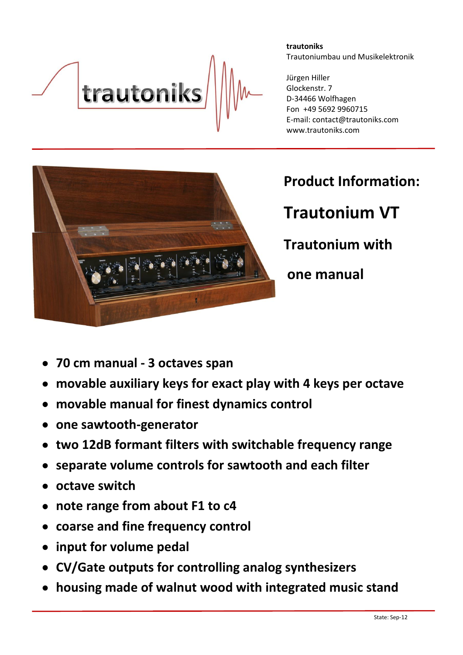

**trautoniks** Trautoniumbau und Musikelektronik

Jürgen Hiller Glockenstr. 7 D-34466 Wolfhagen Fon +49 5692 9960715 E-mail: contact@trautoniks.com www.trautoniks.com



## **Product Information:**

**Trautonium VT Trautonium with one manual**

- **70 cm manual - 3 octaves span**
- **movable auxiliary keys for exact play with 4 keys per octave**
- **movable manual for finest dynamics control**
- **one sawtooth-generator**
- **two 12dB formant filters with switchable frequency range**
- **separate volume controls for sawtooth and each filter**
- **octave switch**
- **note range from about F1 to c4**
- **coarse and fine frequency control**
- **input for volume pedal**
- **CV/Gate outputs for controlling analog synthesizers**
- **housing made of walnut wood with integrated music stand**